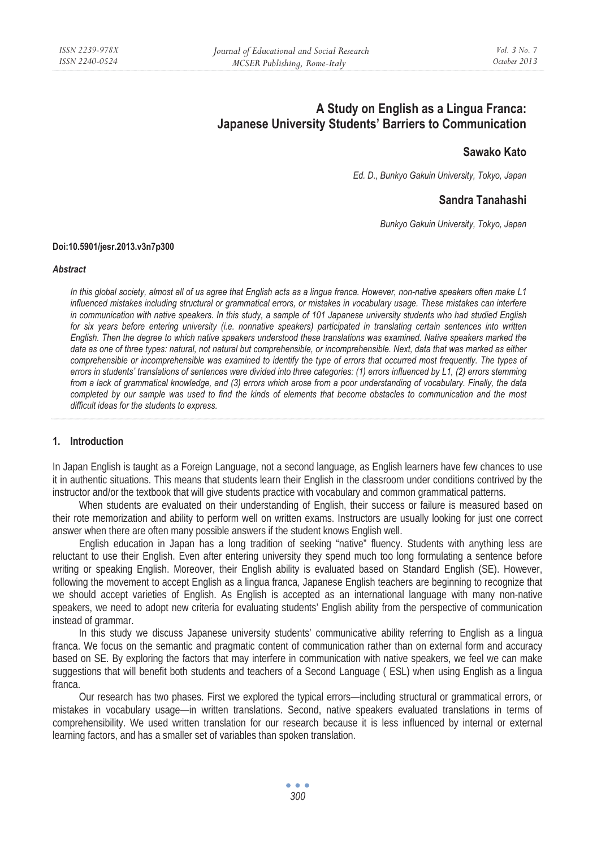# **A Study on English as a Lingua Franca: Japanese University Students' Barriers to Communication**

# **Sawako Kato**

*Ed. D., Bunkyo Gakuin University, Tokyo, Japan* 

# **Sandra Tanahashi**

*Bunkyo Gakuin University, Tokyo, Japan* 

#### **Doi:10.5901/jesr.2013.v3n7p300**

#### *Abstract*

*In this global society, almost all of us agree that English acts as a lingua franca. However, non-native speakers often make L1 influenced mistakes including structural or grammatical errors, or mistakes in vocabulary usage. These mistakes can interfere in communication with native speakers. In this study, a sample of 101 Japanese university students who had studied English for six years before entering university (i.e. nonnative speakers) participated in translating certain sentences into written English. Then the degree to which native speakers understood these translations was examined. Native speakers marked the data as one of three types: natural, not natural but comprehensible, or incomprehensible. Next, data that was marked as either*  comprehensible or incomprehensible was examined to identify the type of errors that occurred most frequently. The types of *errors in students' translations of sentences were divided into three categories: (1) errors influenced by L1, (2) errors stemming from a lack of grammatical knowledge, and (3) errors which arose from a poor understanding of vocabulary. Finally, the data completed by our sample was used to find the kinds of elements that become obstacles to communication and the most difficult ideas for the students to express.* 

## **1. Introduction**

In Japan English is taught as a Foreign Language, not a second language, as English learners have few chances to use it in authentic situations. This means that students learn their English in the classroom under conditions contrived by the instructor and/or the textbook that will give students practice with vocabulary and common grammatical patterns.

When students are evaluated on their understanding of English, their success or failure is measured based on their rote memorization and ability to perform well on written exams. Instructors are usually looking for just one correct answer when there are often many possible answers if the student knows English well.

English education in Japan has a long tradition of seeking "native" fluency. Students with anything less are reluctant to use their English. Even after entering university they spend much too long formulating a sentence before writing or speaking English. Moreover, their English ability is evaluated based on Standard English (SE). However, following the movement to accept English as a lingua franca, Japanese English teachers are beginning to recognize that we should accept varieties of English. As English is accepted as an international language with many non-native speakers, we need to adopt new criteria for evaluating students' English ability from the perspective of communication instead of grammar.

In this study we discuss Japanese university students' communicative ability referring to English as a lingua franca. We focus on the semantic and pragmatic content of communication rather than on external form and accuracy based on SE. By exploring the factors that may interfere in communication with native speakers, we feel we can make suggestions that will benefit both students and teachers of a Second Language ( ESL) when using English as a lingua franca.

Our research has two phases. First we explored the typical errors—including structural or grammatical errors, or mistakes in vocabulary usage—in written translations. Second, native speakers evaluated translations in terms of comprehensibility. We used written translation for our research because it is less influenced by internal or external learning factors, and has a smaller set of variables than spoken translation.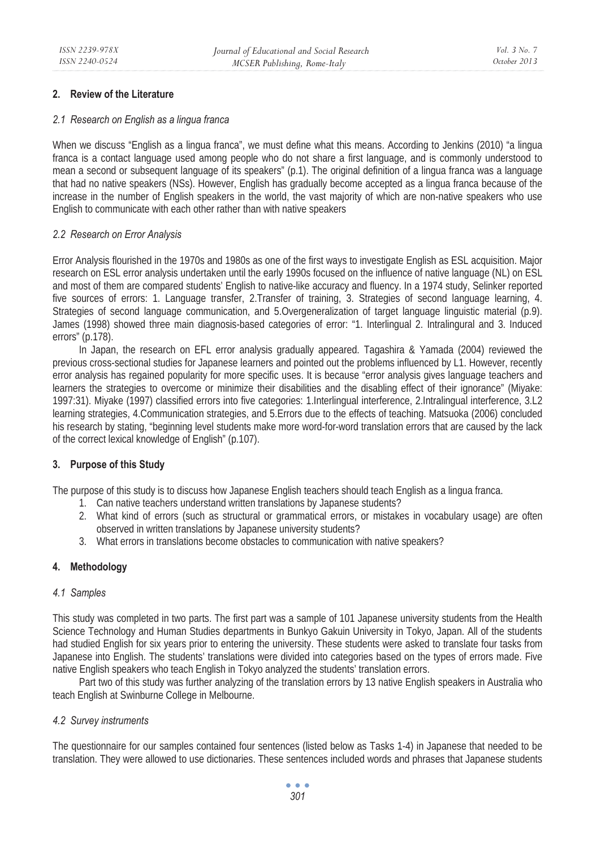## **2. Review of the Literature**

## *2.1 Research on English as a lingua franca*

When we discuss "English as a lingua franca", we must define what this means. According to Jenkins (2010) "a lingua franca is a contact language used among people who do not share a first language, and is commonly understood to mean a second or subsequent language of its speakers" (p.1). The original definition of a lingua franca was a language that had no native speakers (NSs). However, English has gradually become accepted as a lingua franca because of the increase in the number of English speakers in the world, the vast majority of which are non-native speakers who use English to communicate with each other rather than with native speakers

## *2.2 Research on Error Analysis*

Error Analysis flourished in the 1970s and 1980s as one of the first ways to investigate English as ESL acquisition. Major research on ESL error analysis undertaken until the early 1990s focused on the influence of native language (NL) on ESL and most of them are compared students' English to native-like accuracy and fluency. In a 1974 study, Selinker reported five sources of errors: 1. Language transfer, 2.Transfer of training, 3. Strategies of second language learning, 4. Strategies of second language communication, and 5.Overgeneralization of target language linguistic material (p.9). James (1998) showed three main diagnosis-based categories of error: "1. Interlingual 2. Intralingural and 3. Induced errors" (p.178).

In Japan, the research on EFL error analysis gradually appeared. Tagashira & Yamada (2004) reviewed the previous cross-sectional studies for Japanese learners and pointed out the problems influenced by L1. However, recently error analysis has regained popularity for more specific uses. It is because "error analysis gives language teachers and learners the strategies to overcome or minimize their disabilities and the disabling effect of their ignorance" (Miyake: 1997:31). Miyake (1997) classified errors into five categories: 1.Interlingual interference, 2.Intralingual interference, 3.L2 learning strategies, 4.Communication strategies, and 5.Errors due to the effects of teaching. Matsuoka (2006) concluded his research by stating, "beginning level students make more word-for-word translation errors that are caused by the lack of the correct lexical knowledge of English" (p.107).

## **3. Purpose of this Study**

The purpose of this study is to discuss how Japanese English teachers should teach English as a lingua franca.

- 1. Can native teachers understand written translations by Japanese students?
- 2. What kind of errors (such as structural or grammatical errors, or mistakes in vocabulary usage) are often observed in written translations by Japanese university students?
- 3. What errors in translations become obstacles to communication with native speakers?

## **4. Methodology**

## *4.1 Samples*

This study was completed in two parts. The first part was a sample of 101 Japanese university students from the Health Science Technology and Human Studies departments in Bunkyo Gakuin University in Tokyo, Japan. All of the students had studied English for six years prior to entering the university. These students were asked to translate four tasks from Japanese into English. The students' translations were divided into categories based on the types of errors made. Five native English speakers who teach English in Tokyo analyzed the students' translation errors.

Part two of this study was further analyzing of the translation errors by 13 native English speakers in Australia who teach English at Swinburne College in Melbourne.

## *4.2 Survey instruments*

The questionnaire for our samples contained four sentences (listed below as Tasks 1-4) in Japanese that needed to be translation. They were allowed to use dictionaries. These sentences included words and phrases that Japanese students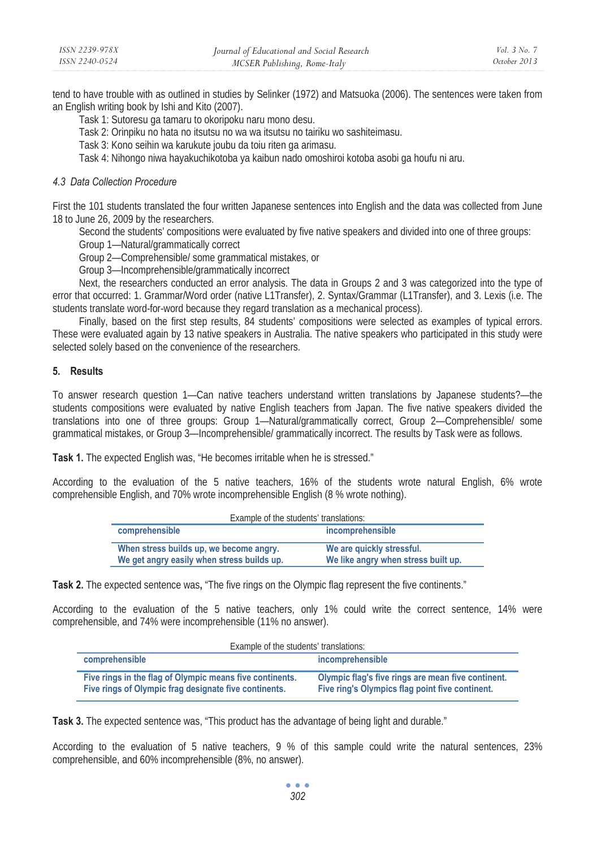| ISSN 2239-978X | Journal of Educational and Social Research | Vol. 3 No. 7 |
|----------------|--------------------------------------------|--------------|
| ISSN 2240-0524 | MCSER Publishing, Rome-Italy               | October 2013 |

tend to have trouble with as outlined in studies by Selinker (1972) and Matsuoka (2006). The sentences were taken from an English writing book by Ishi and Kito (2007).

Task 1: Sutoresu ga tamaru to okoripoku naru mono desu.

Task 2: Orinpiku no hata no itsutsu no wa wa itsutsu no tairiku wo sashiteimasu.

Task 3: Kono seihin wa karukute joubu da toiu riten ga arimasu.

Task 4: Nihongo niwa hayakuchikotoba ya kaibun nado omoshiroi kotoba asobi ga houfu ni aru.

#### *4.3 Data Collection Procedure*

First the 101 students translated the four written Japanese sentences into English and the data was collected from June 18 to June 26, 2009 by the researchers.

Second the students' compositions were evaluated by five native speakers and divided into one of three groups:

Group 1—Natural/grammatically correct

Group 2—Comprehensible/ some grammatical mistakes, or

Group 3—Incomprehensible/grammatically incorrect

Next, the researchers conducted an error analysis. The data in Groups 2 and 3 was categorized into the type of error that occurred: 1. Grammar/Word order (native L1Transfer), 2. Syntax/Grammar (L1Transfer), and 3. Lexis (i.e. The students translate word-for-word because they regard translation as a mechanical process).

Finally, based on the first step results, 84 students' compositions were selected as examples of typical errors. These were evaluated again by 13 native speakers in Australia. The native speakers who participated in this study were selected solely based on the convenience of the researchers.

#### **5. Results**

To answer research question 1—Can native teachers understand written translations by Japanese students?—the students compositions were evaluated by native English teachers from Japan. The five native speakers divided the translations into one of three groups: Group 1—Natural/grammatically correct, Group 2—Comprehensible/ some grammatical mistakes, or Group 3—Incomprehensible/ grammatically incorrect. The results by Task were as follows.

**Task 1.** The expected English was, "He becomes irritable when he is stressed."

According to the evaluation of the 5 native teachers, 16% of the students wrote natural English, 6% wrote comprehensible English, and 70% wrote incomprehensible English (8 % wrote nothing).

| Example of the students' translations:                                                |                                                                  |  |
|---------------------------------------------------------------------------------------|------------------------------------------------------------------|--|
| comprehensible                                                                        | incomprehensible                                                 |  |
| When stress builds up, we become angry.<br>We get angry easily when stress builds up. | We are quickly stressful.<br>We like angry when stress built up. |  |

**Task 2.** The expected sentence was**,** "The five rings on the Olympic flag represent the five continents."

According to the evaluation of the 5 native teachers, only 1% could write the correct sentence, 14% were comprehensible, and 74% were incomprehensible (11% no answer).

| Example of the students' translations:                                                                            |                                                                                                       |  |
|-------------------------------------------------------------------------------------------------------------------|-------------------------------------------------------------------------------------------------------|--|
| comprehensible                                                                                                    | incomprehensible                                                                                      |  |
| Five rings in the flag of Olympic means five continents.<br>Five rings of Olympic frag designate five continents. | Olympic flag's five rings are mean five continent.<br>Five ring's Olympics flag point five continent. |  |

**Task 3.** The expected sentence was, "This product has the advantage of being light and durable."

According to the evaluation of 5 native teachers, 9 % of this sample could write the natural sentences, 23% comprehensible, and 60% incomprehensible (8%, no answer).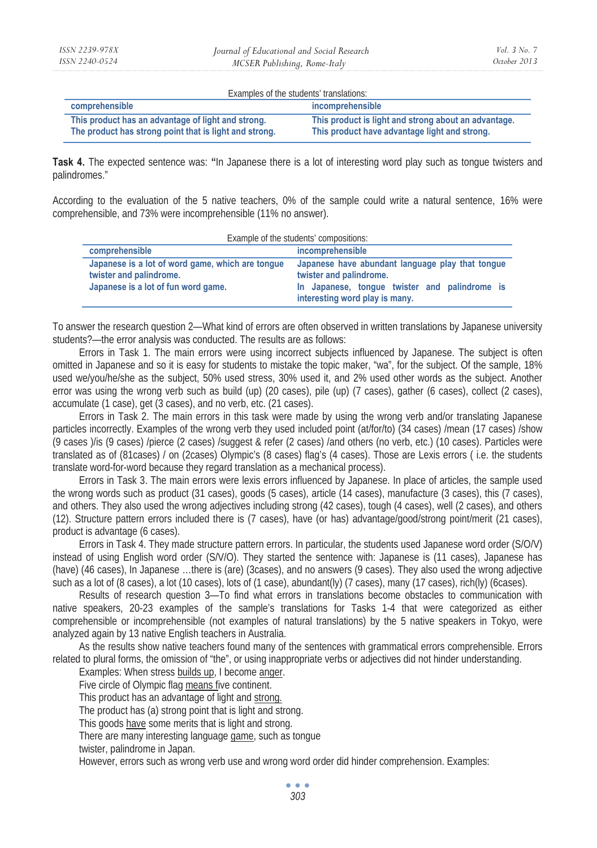| Examples of the students' translations:                                                                      |                                                                                                       |  |
|--------------------------------------------------------------------------------------------------------------|-------------------------------------------------------------------------------------------------------|--|
| comprehensible                                                                                               | incomprehensible                                                                                      |  |
| This product has an advantage of light and strong.<br>The product has strong point that is light and strong. | This product is light and strong about an advantage.<br>This product have advantage light and strong. |  |

**Task 4.** The expected sentence was: **"**In Japanese there is a lot of interesting word play such as tongue twisters and palindromes."

According to the evaluation of the 5 native teachers, 0% of the sample could write a natural sentence, 16% were comprehensible, and 73% were incomprehensible (11% no answer).

| Example of the students' compositions:                                                                             |                                                                                                                                                                |  |
|--------------------------------------------------------------------------------------------------------------------|----------------------------------------------------------------------------------------------------------------------------------------------------------------|--|
| comprehensible                                                                                                     | <i>incomprehensible</i>                                                                                                                                        |  |
| Japanese is a lot of word game, which are tongue<br>twister and palindrome.<br>Japanese is a lot of fun word game. | Japanese have abundant language play that tongue<br>twister and palindrome.<br>In Japanese, tonque twister and palindrome is<br>interesting word play is many. |  |

To answer the research question 2—What kind of errors are often observed in written translations by Japanese university students?—the error analysis was conducted. The results are as follows:

Errors in Task 1. The main errors were using incorrect subjects influenced by Japanese. The subject is often omitted in Japanese and so it is easy for students to mistake the topic maker, "wa", for the subject. Of the sample, 18% used we/you/he/she as the subject, 50% used stress, 30% used it, and 2% used other words as the subject. Another error was using the wrong verb such as build (up) (20 cases), pile (up) (7 cases), gather (6 cases), collect (2 cases), accumulate (1 case), get (3 cases), and no verb, etc. (21 cases).

Errors in Task 2. The main errors in this task were made by using the wrong verb and/or translating Japanese particles incorrectly. Examples of the wrong verb they used included point (at/for/to) (34 cases) /mean (17 cases) /show (9 cases )/is (9 cases) /pierce (2 cases) /suggest & refer (2 cases) /and others (no verb, etc.) (10 cases). Particles were translated as of (81cases) / on (2cases) Olympic's (8 cases) flag's (4 cases). Those are Lexis errors ( i.e. the students translate word-for-word because they regard translation as a mechanical process).

Errors in Task 3. The main errors were lexis errors influenced by Japanese. In place of articles, the sample used the wrong words such as product (31 cases), goods (5 cases), article (14 cases), manufacture (3 cases), this (7 cases), and others. They also used the wrong adjectives including strong (42 cases), tough (4 cases), well (2 cases), and others (12). Structure pattern errors included there is (7 cases), have (or has) advantage/good/strong point/merit (21 cases), product is advantage (6 cases).

Errors in Task 4. They made structure pattern errors. In particular, the students used Japanese word order (S/O/V) instead of using English word order (S/V/O). They started the sentence with: Japanese is (11 cases), Japanese has (have) (46 cases), In Japanese …there is (are) (3cases), and no answers (9 cases). They also used the wrong adjective such as a lot of (8 cases), a lot (10 cases), lots of (1 case), abundant(ly) (7 cases), many (17 cases), rich(ly) (6cases).

Results of research question 3—To find what errors in translations become obstacles to communication with native speakers, 20-23 examples of the sample's translations for Tasks 1-4 that were categorized as either comprehensible or incomprehensible (not examples of natural translations) by the 5 native speakers in Tokyo, were analyzed again by 13 native English teachers in Australia.

As the results show native teachers found many of the sentences with grammatical errors comprehensible. Errors related to plural forms, the omission of "the", or using inappropriate verbs or adjectives did not hinder understanding.

Examples: When stress builds up, I become anger.

Five circle of Olympic flag means five continent.

This product has an advantage of light and strong.

The product has (a) strong point that is light and strong.

This goods have some merits that is light and strong.

There are many interesting language game, such as tongue

twister, palindrome in Japan.

However, errors such as wrong verb use and wrong word order did hinder comprehension. Examples:

 $\bullet$   $\bullet$   $\bullet$ *303*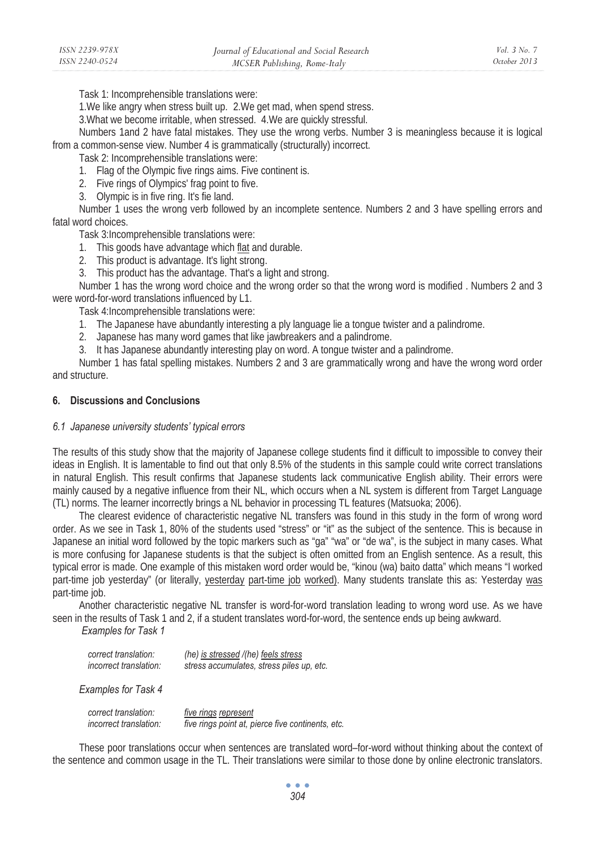Task 1: Incomprehensible translations were:

1. We like angry when stress built up. 2. We get mad, when spend stress.

3.What we become irritable, when stressed. 4.We are quickly stressful.

Numbers 1and 2 have fatal mistakes. They use the wrong verbs. Number 3 is meaningless because it is logical from a common-sense view. Number 4 is grammatically (structurally) incorrect.

Task 2: Incomprehensible translations were:

1. Flag of the Olympic five rings aims. Five continent is.

2. Five rings of Olympics' frag point to five.

3. Olympic is in five ring. It's fie land.

Number 1 uses the wrong verb followed by an incomplete sentence. Numbers 2 and 3 have spelling errors and fatal word choices.

Task 3:Incomprehensible translations were:

- 1. This goods have advantage which flat and durable.
- 2. This product is advantage. It's light strong.
- 3. This product has the advantage. That's a light and strong.

Number 1 has the wrong word choice and the wrong order so that the wrong word is modified . Numbers 2 and 3 were word-for-word translations influenced by L1.

Task 4:Incomprehensible translations were:

1. The Japanese have abundantly interesting a ply language lie a tongue twister and a palindrome.

- 2. Japanese has many word games that like jawbreakers and a palindrome.
- 3. It has Japanese abundantly interesting play on word. A tongue twister and a palindrome.

Number 1 has fatal spelling mistakes. Numbers 2 and 3 are grammatically wrong and have the wrong word order and structure.

# **6. Discussions and Conclusions**

## *6.1 Japanese university students' typical errors*

The results of this study show that the majority of Japanese college students find it difficult to impossible to convey their ideas in English. It is lamentable to find out that only 8.5% of the students in this sample could write correct translations in natural English. This result confirms that Japanese students lack communicative English ability. Their errors were mainly caused by a negative influence from their NL, which occurs when a NL system is different from Target Language (TL) norms. The learner incorrectly brings a NL behavior in processing TL features (Matsuoka; 2006).

The clearest evidence of characteristic negative NL transfers was found in this study in the form of wrong word order. As we see in Task 1, 80% of the students used "stress" or "it" as the subject of the sentence. This is because in Japanese an initial word followed by the topic markers such as "ga" "wa" or "de wa", is the subject in many cases. What is more confusing for Japanese students is that the subject is often omitted from an English sentence. As a result, this typical error is made. One example of this mistaken word order would be, "kinou (wa) baito datta" which means "I worked part-time job yesterday" (or literally, yesterday part-time job worked). Many students translate this as: Yesterday was part-time job.

Another characteristic negative NL transfer is word-for-word translation leading to wrong word use. As we have seen in the results of Task 1 and 2, if a student translates word-for-word, the sentence ends up being awkward.

 *Examples for Task 1*

| correct translation:          | (he) is stressed /(he) feels stress       |
|-------------------------------|-------------------------------------------|
| <i>incorrect translation:</i> | stress accumulates, stress piles up, etc. |

*Examples for Task 4*

| correct translation:   | five rings represent                              |
|------------------------|---------------------------------------------------|
| incorrect translation: | five rings point at, pierce five continents, etc. |

These poor translations occur when sentences are translated word–for-word without thinking about the context of the sentence and common usage in the TL. Their translations were similar to those done by online electronic translators.